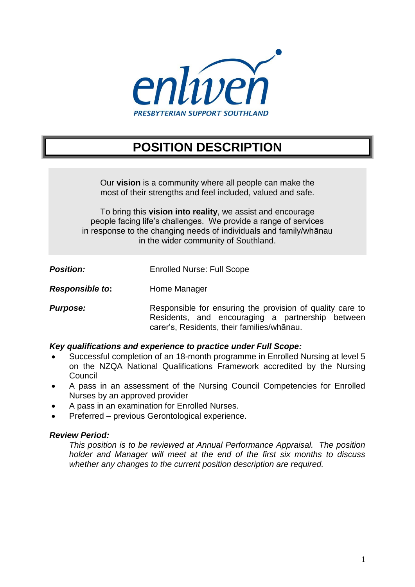

# **POSITION DESCRIPTION**

Our **vision** is a community where all people can make the most of their strengths and feel included, valued and safe.

To bring this **vision into reality**, we assist and encourage people facing life's challenges. We provide a range of services in response to the changing needs of individuals and family/whānau in the wider community of Southland.

| <b>Position:</b> | <b>Enrolled Nurse: Full Scope</b> |
|------------------|-----------------------------------|
|                  |                                   |

- **Responsible to:** Home Manager
- **Purpose:** Responsible for ensuring the provision of quality care to Residents, and encouraging a partnership between carer's, Residents, their families/whānau.

# *Key qualifications and experience to practice under Full Scope:*

- Successful completion of an 18-month programme in Enrolled Nursing at level 5 on the NZQA National Qualifications Framework accredited by the Nursing **Council**
- A pass in an assessment of the Nursing Council Competencies for Enrolled Nurses by an approved provider
- A pass in an examination for Enrolled Nurses.
- Preferred previous Gerontological experience.

# *Review Period:*

*This position is to be reviewed at Annual Performance Appraisal. The position holder and Manager will meet at the end of the first six months to discuss whether any changes to the current position description are required.*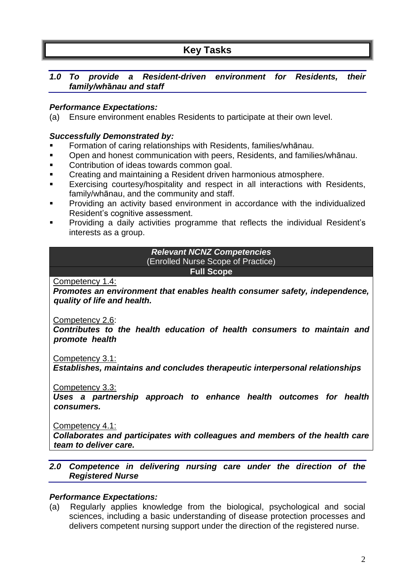# **Key Tasks**

# *1.0 To provide a Resident-driven environment for Residents, their family/wh***ā***nau and staff*

# *Performance Expectations:*

(a) Ensure environment enables Residents to participate at their own level.

# *Successfully Demonstrated by:*

- Formation of caring relationships with Residents, families/whānau.
- Open and honest communication with peers, Residents, and families/whānau.
- Contribution of ideas towards common goal.
- **EXECT** Creating and maintaining a Resident driven harmonious atmosphere.
- Exercising courtesy/hospitality and respect in all interactions with Residents, family/whānau, and the community and staff.
- **Providing an activity based environment in accordance with the individualized** Resident's cognitive assessment.
- Providing a daily activities programme that reflects the individual Resident's interests as a group.

## *Relevant NCNZ Competencies* (Enrolled Nurse Scope of Practice) **Full Scope**

Competency 1.4:

*Promotes an environment that enables health consumer safety, independence, quality of life and health.*

Competency 2.6:

*Contributes to the health education of health consumers to maintain and promote health*

Competency 3.1:

*Establishes, maintains and concludes therapeutic interpersonal relationships*

Competency 3.3:

*Uses a partnership approach to enhance health outcomes for health consumers.*

Competency 4.1:

*Collaborates and participates with colleagues and members of the health care team to deliver care.*

# *2.0 Competence in delivering nursing care under the direction of the Registered Nurse*

# *Performance Expectations:*

(a) Regularly applies knowledge from the biological, psychological and social sciences, including a basic understanding of disease protection processes and delivers competent nursing support under the direction of the registered nurse.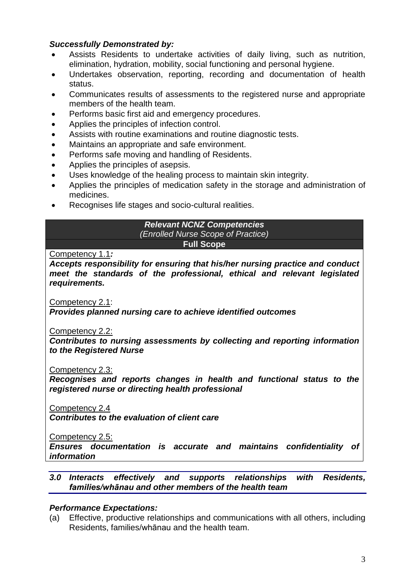# *Successfully Demonstrated by:*

- Assists Residents to undertake activities of daily living, such as nutrition, elimination, hydration, mobility, social functioning and personal hygiene.
- Undertakes observation, reporting, recording and documentation of health status.
- Communicates results of assessments to the registered nurse and appropriate members of the health team.
- Performs basic first aid and emergency procedures.
- Applies the principles of infection control.
- Assists with routine examinations and routine diagnostic tests.
- Maintains an appropriate and safe environment.
- Performs safe moving and handling of Residents.
- Applies the principles of asepsis.
- Uses knowledge of the healing process to maintain skin integrity.
- Applies the principles of medication safety in the storage and administration of medicines.
- Recognises life stages and socio-cultural realities.

### *Relevant NCNZ Competencies (Enrolled Nurse Scope of Practice)* **Full Scope**

Competency 1.1*: Accepts responsibility for ensuring that his/her nursing practice and conduct meet the standards of the professional, ethical and relevant legislated* 

Competency 2.1:

*requirements.*

*Provides planned nursing care to achieve identified outcomes*

Competency 2.2:

*Contributes to nursing assessments by collecting and reporting information to the Registered Nurse*

Competency 2.3:

*Recognises and reports changes in health and functional status to the registered nurse or directing health professional*

Competency 2.4

*Contributes to the evaluation of client care*

Competency 2.5:

*Ensures documentation is accurate and maintains confidentiality of information*

# *3.0 Interacts effectively and supports relationships with Residents, families/whānau and other members of the health team*

# *Performance Expectations:*

(a) Effective, productive relationships and communications with all others, including Residents, families/whānau and the health team.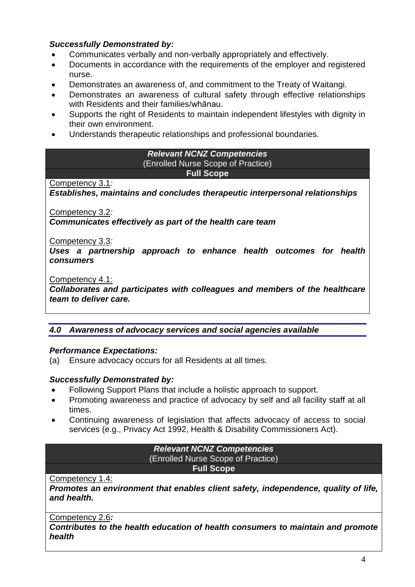# *Successfully Demonstrated by:*

- Communicates verbally and non-verbally appropriately and effectively.
- Documents in accordance with the requirements of the employer and registered nurse.
- Demonstrates an awareness of, and commitment to the Treaty of Waitangi.
- Demonstrates an awareness of cultural safety through effective relationships with Residents and their families/whānau.
- Supports the right of Residents to maintain independent lifestyles with dignity in their own environment.
- Understands therapeutic relationships and professional boundaries.

### *Relevant NCNZ Competencies* (Enrolled Nurse Scope of Practice) **Full Scope**

# Competency 3.1*:*

*Establishes, maintains and concludes therapeutic interpersonal relationships*

Competency 3.2*:* 

*Communicates effectively as part of the health care team*

Competency 3.3*:*

*Uses a partnership approach to enhance health outcomes for health consumers*

Competency 4.1:

*Collaborates and participates with colleagues and members of the healthcare team to deliver care.*

# *4.0 Awareness of advocacy services and social agencies available*

# *Performance Expectations:*

(a) Ensure advocacy occurs for all Residents at all times.

# *Successfully Demonstrated by:*

- Following Support Plans that include a holistic approach to support.
- Promoting awareness and practice of advocacy by self and all facility staff at all times.
- Continuing awareness of legislation that affects advocacy of access to social services (e.g., Privacy Act 1992, Health & Disability Commissioners Act).

| <b>Relevant NCNZ Competencies</b>  |  |
|------------------------------------|--|
| (Enrolled Nurse Scope of Practice) |  |
| <b>Full Scope</b>                  |  |

# Competency 1.4:

*Promotes an environment that enables client safety, independence, quality of life, and health.*

Competency 2.6*:* 

*Contributes to the health education of health consumers to maintain and promote health*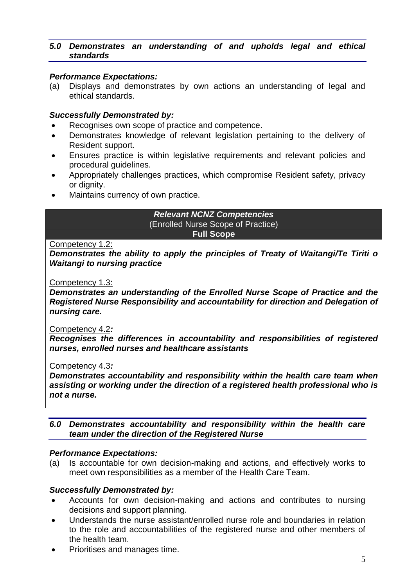# *5.0 Demonstrates an understanding of and upholds legal and ethical standards*

## *Performance Expectations:*

(a) Displays and demonstrates by own actions an understanding of legal and ethical standards.

## *Successfully Demonstrated by:*

- Recognises own scope of practice and competence.
- Demonstrates knowledge of relevant legislation pertaining to the delivery of Resident support.
- Ensures practice is within legislative requirements and relevant policies and procedural guidelines.
- Appropriately challenges practices, which compromise Resident safety, privacy or dignity.
- Maintains currency of own practice.

#### *Relevant NCNZ Competencies* (Enrolled Nurse Scope of Practice) **Full Scope**

#### Competency 1.2:

*Demonstrates the ability to apply the principles of Treaty of Waitangi/Te Tiriti o Waitangi to nursing practice*

#### Competency 1.3:

*Demonstrates an understanding of the Enrolled Nurse Scope of Practice and the Registered Nurse Responsibility and accountability for direction and Delegation of nursing care.*

#### Competency 4.2*:*

*Recognises the differences in accountability and responsibilities of registered nurses, enrolled nurses and healthcare assistants*

#### Competency 4.3*:*

*Demonstrates accountability and responsibility within the health care team when assisting or working under the direction of a registered health professional who is not a nurse.*

# *6.0 Demonstrates accountability and responsibility within the health care team under the direction of the Registered Nurse*

#### *Performance Expectations:*

(a) Is accountable for own decision-making and actions, and effectively works to meet own responsibilities as a member of the Health Care Team.

#### *Successfully Demonstrated by:*

- Accounts for own decision-making and actions and contributes to nursing decisions and support planning.
- Understands the nurse assistant/enrolled nurse role and boundaries in relation to the role and accountabilities of the registered nurse and other members of the health team.
- Prioritises and manages time.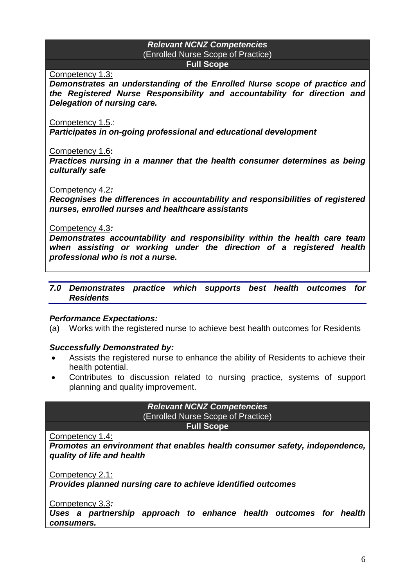### *Relevant NCNZ Competencies* (Enrolled Nurse Scope of Practice) **Full Scope**

Competency 1.3:

*Demonstrates an understanding of the Enrolled Nurse scope of practice and the Registered Nurse Responsibility and accountability for direction and Delegation of nursing care.*

Competency 1.5.:

*Participates in on-going professional and educational development*

Competency 1.6**:** 

*Practices nursing in a manner that the health consumer determines as being culturally safe*

#### Competency 4.2*:*

*Recognises the differences in accountability and responsibilities of registered nurses, enrolled nurses and healthcare assistants*

#### Competency 4.3*:*

*Demonstrates accountability and responsibility within the health care team when assisting or working under the direction of a registered health professional who is not a nurse.*

#### *7.0 Demonstrates practice which supports best health outcomes for Residents*

#### *Performance Expectations:*

(a) Works with the registered nurse to achieve best health outcomes for Residents

# *Successfully Demonstrated by:*

- Assists the registered nurse to enhance the ability of Residents to achieve their health potential.
- Contributes to discussion related to nursing practice, systems of support planning and quality improvement.

*Relevant NCNZ Competencies* (Enrolled Nurse Scope of Practice) **Full Scope**

Competency 1.4:

*Promotes an environment that enables health consumer safety, independence, quality of life and health*

Competency 2.1:

*Provides planned nursing care to achieve identified outcomes*

Competency 3.3*:* 

*Uses a partnership approach to enhance health outcomes for health consumers.*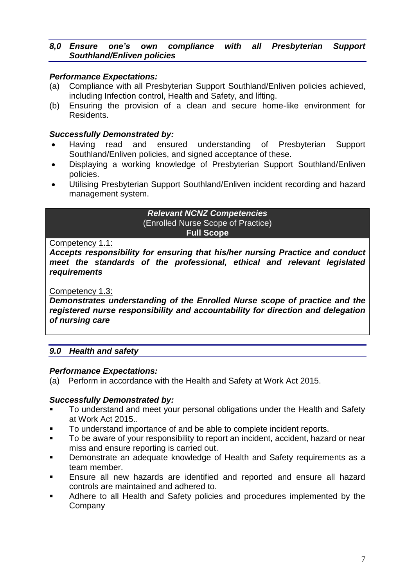# *8,0 Ensure one's own compliance with all Presbyterian Support Southland/Enliven policies*

# *Performance Expectations:*

- (a) Compliance with all Presbyterian Support Southland/Enliven policies achieved, including Infection control, Health and Safety, and lifting.
- (b) Ensuring the provision of a clean and secure home-like environment for Residents.

# *Successfully Demonstrated by:*

- Having read and ensured understanding of Presbyterian Support Southland/Enliven policies, and signed acceptance of these.
- Displaying a working knowledge of Presbyterian Support Southland/Enliven policies.
- Utilising Presbyterian Support Southland/Enliven incident recording and hazard management system.

# *Relevant NCNZ Competencies* (Enrolled Nurse Scope of Practice) **Full Scope**

# Competency 1.1:

*Accepts responsibility for ensuring that his/her nursing Practice and conduct meet the standards of the professional, ethical and relevant legislated requirements*

# Competency 1.3:

*Demonstrates understanding of the Enrolled Nurse scope of practice and the registered nurse responsibility and accountability for direction and delegation of nursing care*

# *9.0 Health and safety*

# *Performance Expectations:*

(a) Perform in accordance with the Health and Safety at Work Act 2015.

# *Successfully Demonstrated by:*

- To understand and meet your personal obligations under the Health and Safety at Work Act 2015..
- To understand importance of and be able to complete incident reports.
- To be aware of your responsibility to report an incident, accident, hazard or near miss and ensure reporting is carried out.
- **Demonstrate an adequate knowledge of Health and Safety requirements as a** team member.
- Ensure all new hazards are identified and reported and ensure all hazard controls are maintained and adhered to.
- Adhere to all Health and Safety policies and procedures implemented by the **Company**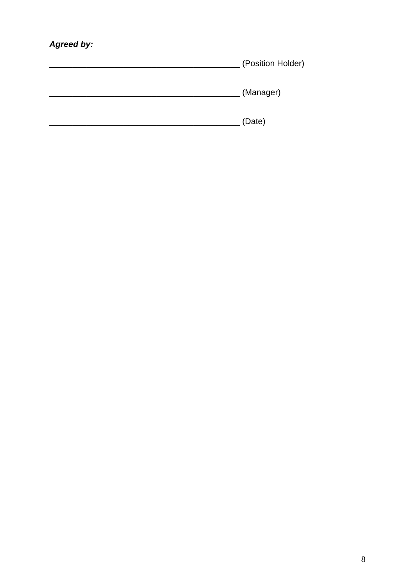# Agreed by:

| (Position Holder) |
|-------------------|
| (Manager)         |
| (Date)            |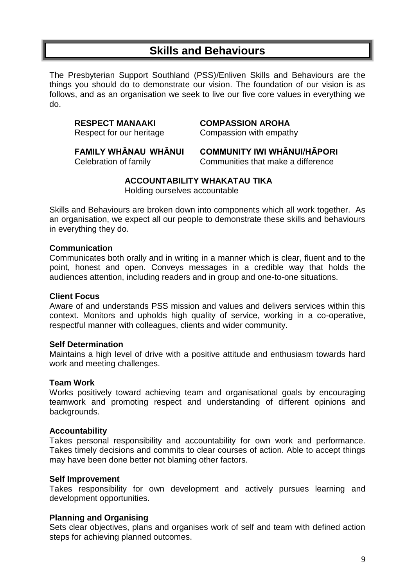# **Skills and Behaviours**

The Presbyterian Support Southland (PSS)/Enliven Skills and Behaviours are the things you should do to demonstrate our vision. The foundation of our vision is as follows, and as an organisation we seek to live our five core values in everything we do.

**RESPECT MANAAKI COMPASSION AROHA**

Respect for our heritage **Compassion with empathy** 

**FAMILY WHĀNAU WHĀNUI COMMUNITY IWI WHĀNUI/HĀPORI**

Celebration of family Communities that make a difference

# **ACCOUNTABILITY WHAKATAU TIKA**

Holding ourselves accountable

Skills and Behaviours are broken down into components which all work together. As an organisation, we expect all our people to demonstrate these skills and behaviours in everything they do.

## **Communication**

Communicates both orally and in writing in a manner which is clear, fluent and to the point, honest and open. Conveys messages in a credible way that holds the audiences attention, including readers and in group and one-to-one situations.

## **Client Focus**

Aware of and understands PSS mission and values and delivers services within this context. Monitors and upholds high quality of service, working in a co-operative, respectful manner with colleagues, clients and wider community.

#### **Self Determination**

Maintains a high level of drive with a positive attitude and enthusiasm towards hard work and meeting challenges.

#### **Team Work**

Works positively toward achieving team and organisational goals by encouraging teamwork and promoting respect and understanding of different opinions and backgrounds.

# **Accountability**

Takes personal responsibility and accountability for own work and performance. Takes timely decisions and commits to clear courses of action. Able to accept things may have been done better not blaming other factors.

#### **Self Improvement**

Takes responsibility for own development and actively pursues learning and development opportunities.

#### **Planning and Organising**

Sets clear objectives, plans and organises work of self and team with defined action steps for achieving planned outcomes.